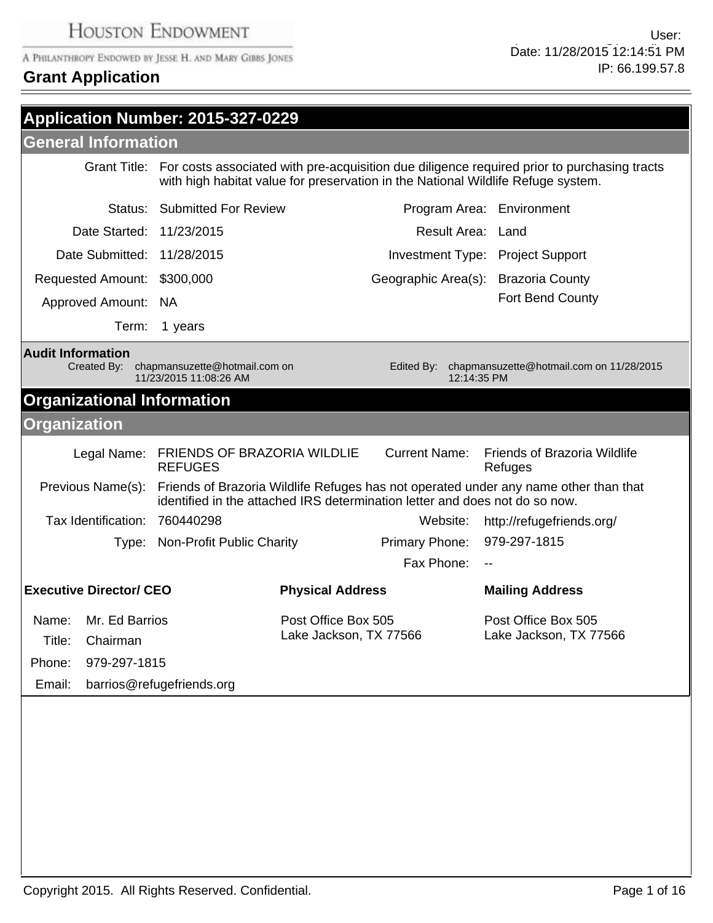# **Grant Application**

-

| Application Number: 2015-327-0229                                                                                                                                                     |                                                           |                                               |                                     |                                                                                                                                                                                              |
|---------------------------------------------------------------------------------------------------------------------------------------------------------------------------------------|-----------------------------------------------------------|-----------------------------------------------|-------------------------------------|----------------------------------------------------------------------------------------------------------------------------------------------------------------------------------------------|
| <b>General Information</b>                                                                                                                                                            |                                                           |                                               |                                     |                                                                                                                                                                                              |
|                                                                                                                                                                                       |                                                           |                                               |                                     | Grant Title: For costs associated with pre-acquisition due diligence required prior to purchasing tracts<br>with high habitat value for preservation in the National Wildlife Refuge system. |
|                                                                                                                                                                                       | <b>Status: Submitted For Review</b>                       |                                               |                                     | Program Area: Environment                                                                                                                                                                    |
| Date Started: 11/23/2015                                                                                                                                                              |                                                           |                                               | Result Area: Land                   |                                                                                                                                                                                              |
| Date Submitted: 11/28/2015                                                                                                                                                            |                                                           |                                               |                                     | Investment Type: Project Support                                                                                                                                                             |
| Requested Amount: \$300,000                                                                                                                                                           |                                                           |                                               | Geographic Area(s): Brazoria County |                                                                                                                                                                                              |
| Approved Amount: NA                                                                                                                                                                   |                                                           |                                               |                                     | Fort Bend County                                                                                                                                                                             |
| Term:                                                                                                                                                                                 | 1 years                                                   |                                               |                                     |                                                                                                                                                                                              |
| <b>Audit Information</b><br>Created By:                                                                                                                                               | chapmansuzette@hotmail.com on<br>11/23/2015 11:08:26 AM   |                                               | Edited By:<br>12:14:35 PM           | chapmansuzette@hotmail.com on 11/28/2015                                                                                                                                                     |
| <b>Organizational Information</b>                                                                                                                                                     |                                                           |                                               |                                     |                                                                                                                                                                                              |
| <b>Organization</b>                                                                                                                                                                   |                                                           |                                               |                                     |                                                                                                                                                                                              |
|                                                                                                                                                                                       | Legal Name: FRIENDS OF BRAZORIA WILDLIE<br><b>REFUGES</b> |                                               | <b>Current Name:</b>                | <b>Friends of Brazoria Wildlife</b><br>Refuges                                                                                                                                               |
| Previous Name(s): Friends of Brazoria Wildlife Refuges has not operated under any name other than that<br>identified in the attached IRS determination letter and does not do so now. |                                                           |                                               |                                     |                                                                                                                                                                                              |
| Tax Identification: 760440298                                                                                                                                                         |                                                           |                                               | Website:                            | http://refugefriends.org/                                                                                                                                                                    |
|                                                                                                                                                                                       | Type: Non-Profit Public Charity                           |                                               | <b>Primary Phone:</b>               | 979-297-1815                                                                                                                                                                                 |
|                                                                                                                                                                                       |                                                           |                                               | Fax Phone:                          | $\overline{\phantom{a}}$                                                                                                                                                                     |
| <b>Executive Director/ CEO</b>                                                                                                                                                        |                                                           | <b>Physical Address</b>                       |                                     | <b>Mailing Address</b>                                                                                                                                                                       |
| Name: Mr. Ed Barrios<br>Title:<br>Chairman<br>979-297-1815<br>Phone:<br>Email:                                                                                                        | barrios@refugefriends.org                                 | Post Office Box 505<br>Lake Jackson, TX 77566 |                                     | Post Office Box 505<br>Lake Jackson, TX 77566                                                                                                                                                |
|                                                                                                                                                                                       |                                                           |                                               |                                     |                                                                                                                                                                                              |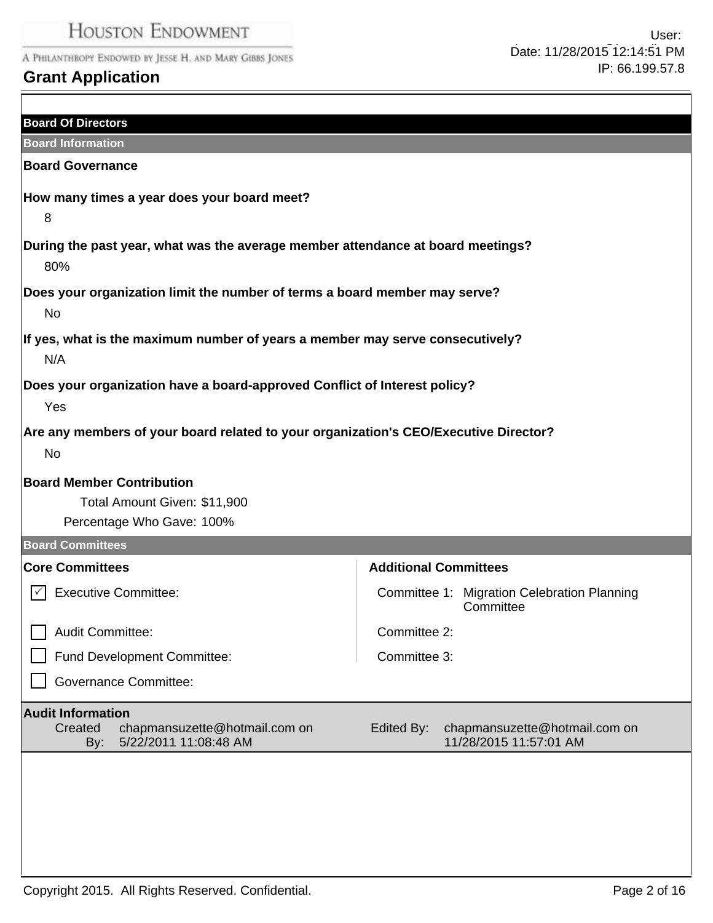# **Grant Application**

| <b>Board Of Directors</b>                                                                            |                                                                       |
|------------------------------------------------------------------------------------------------------|-----------------------------------------------------------------------|
| <b>Board Information</b>                                                                             |                                                                       |
| <b>Board Governance</b>                                                                              |                                                                       |
| How many times a year does your board meet?<br>8                                                     |                                                                       |
|                                                                                                      |                                                                       |
| During the past year, what was the average member attendance at board meetings?<br>80%               |                                                                       |
| Does your organization limit the number of terms a board member may serve?<br><b>No</b>              |                                                                       |
| If yes, what is the maximum number of years a member may serve consecutively?<br>N/A                 |                                                                       |
| Does your organization have a board-approved Conflict of Interest policy?<br>Yes                     |                                                                       |
| Are any members of your board related to your organization's CEO/Executive Director?<br><b>No</b>    |                                                                       |
| <b>Board Member Contribution</b><br>Total Amount Given: \$11,900<br>Percentage Who Gave: 100%        |                                                                       |
| <b>Board Committees</b>                                                                              |                                                                       |
| <b>Core Committees</b>                                                                               | <b>Additional Committees</b>                                          |
| <b>Executive Committee:</b>                                                                          | Committee 1: Migration Celebration Planning<br>Committee              |
| Audit Committee:                                                                                     | Committee 2:                                                          |
| Fund Development Committee:                                                                          | Committee 3:                                                          |
| <b>Governance Committee:</b>                                                                         |                                                                       |
| <b>Audit Information</b><br>chapmansuzette@hotmail.com on<br>Created<br>5/22/2011 11:08:48 AM<br>By: | Edited By:<br>chapmansuzette@hotmail.com on<br>11/28/2015 11:57:01 AM |
|                                                                                                      |                                                                       |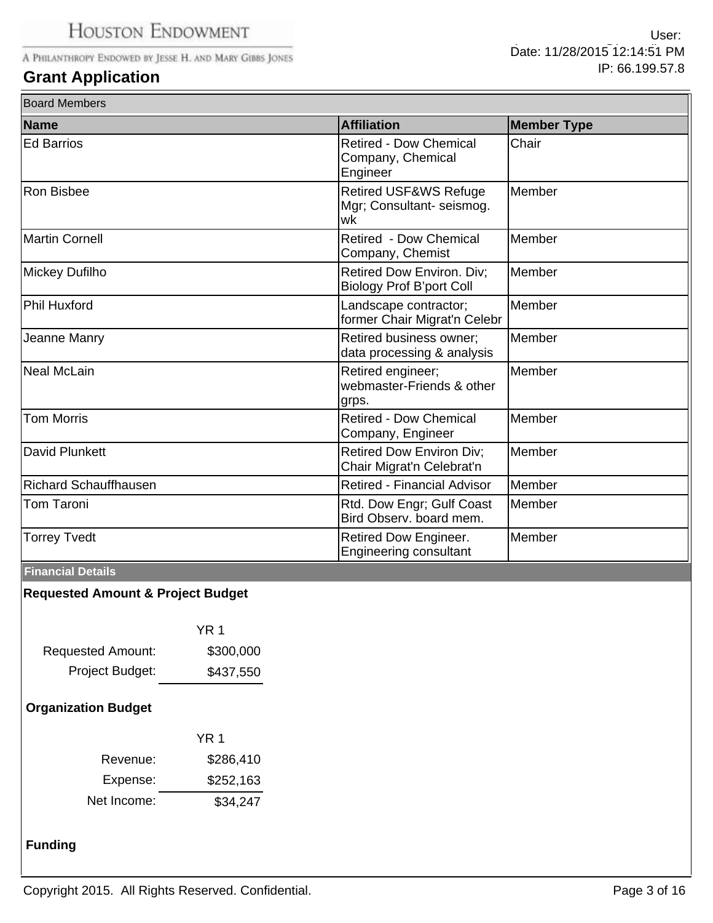# **Grant Application**

 $\overline{\mathbf{B}}$ 

| <b>Board Members</b>         |                                                                |                    |
|------------------------------|----------------------------------------------------------------|--------------------|
| <b>Name</b>                  | <b>Affiliation</b>                                             | <b>Member Type</b> |
| <b>Ed Barrios</b>            | <b>Retired - Dow Chemical</b><br>Company, Chemical<br>Engineer | Chair              |
| <b>Ron Bisbee</b>            | Retired USF&WS Refuge<br>Mgr; Consultant-seismog.<br>lwk       | Member             |
| Martin Cornell               | Retired - Dow Chemical<br>Company, Chemist                     | Member             |
| Mickey Dufilho               | Retired Dow Environ. Div;<br><b>Biology Prof B'port Coll</b>   | Member             |
| <b>Phil Huxford</b>          | Landscape contractor;<br>former Chair Migrat'n Celebr          | Member             |
| Jeanne Manry                 | Retired business owner;<br>data processing & analysis          | Member             |
| Neal McLain                  | Retired engineer;<br>webmaster-Friends & other<br>grps.        | Member             |
| <b>Tom Morris</b>            | <b>Retired - Dow Chemical</b><br>Company, Engineer             | Member             |
| David Plunkett               | <b>Retired Dow Environ Div;</b><br>Chair Migrat'n Celebrat'n   | Member             |
| <b>Richard Schauffhausen</b> | <b>Retired - Financial Advisor</b>                             | Member             |
| Tom Taroni                   | Rtd. Dow Engr; Gulf Coast<br>Bird Observ, board mem.           | Member             |
| <b>Torrey Tvedt</b>          | Retired Dow Engineer.<br><b>Engineering consultant</b>         | Member             |

### **Financial Details**

## **Requested Amount & Project Budget**

|                          | YR 1      |
|--------------------------|-----------|
| <b>Requested Amount:</b> | \$300,000 |
| Project Budget:          | \$437,550 |

## **Organization Budget**

|             | YR 1      |
|-------------|-----------|
| Revenue:    | \$286,410 |
| Expense:    | \$252,163 |
| Net Income: | \$34,247  |

## **Funding**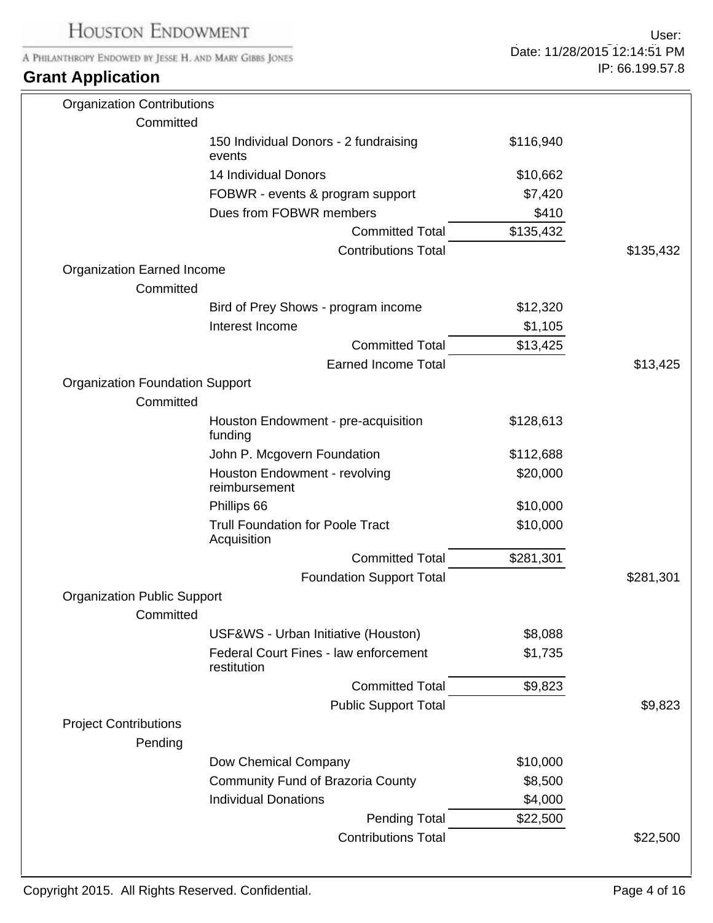| <b>HOUSTON ENDOWMENT</b>                                                            |                                                        |                              | User:           |
|-------------------------------------------------------------------------------------|--------------------------------------------------------|------------------------------|-----------------|
| A PHILANTHROPY ENDOWED BY JESSE H. AND MARY GIBBS JONES<br><b>Grant Application</b> |                                                        | Date: 11/28/2015 12:14:51 PM |                 |
|                                                                                     |                                                        |                              | IP: 66.199.57.8 |
| <b>Organization Contributions</b>                                                   |                                                        |                              |                 |
| Committed                                                                           |                                                        |                              |                 |
|                                                                                     | 150 Individual Donors - 2 fundraising<br>events        | \$116,940                    |                 |
|                                                                                     | 14 Individual Donors                                   | \$10,662                     |                 |
|                                                                                     | FOBWR - events & program support                       | \$7,420                      |                 |
|                                                                                     | Dues from FOBWR members                                | \$410                        |                 |
|                                                                                     | <b>Committed Total</b>                                 | \$135,432                    |                 |
|                                                                                     | <b>Contributions Total</b>                             |                              | \$135,432       |
| <b>Organization Earned Income</b><br>Committed                                      |                                                        |                              |                 |
|                                                                                     | Bird of Prey Shows - program income                    | \$12,320                     |                 |
|                                                                                     | Interest Income                                        | \$1,105                      |                 |
|                                                                                     | <b>Committed Total</b>                                 | \$13,425                     |                 |
|                                                                                     | <b>Earned Income Total</b>                             |                              | \$13,425        |
| <b>Organization Foundation Support</b><br>Committed                                 |                                                        |                              |                 |
|                                                                                     | Houston Endowment - pre-acquisition<br>funding         | \$128,613                    |                 |
|                                                                                     | John P. Mcgovern Foundation                            | \$112,688                    |                 |
|                                                                                     | Houston Endowment - revolving<br>reimbursement         | \$20,000                     |                 |
|                                                                                     | Phillips 66                                            | \$10,000                     |                 |
|                                                                                     | <b>Trull Foundation for Poole Tract</b><br>Acquisition | \$10,000                     |                 |
|                                                                                     | <b>Committed Total</b>                                 | \$281,301                    |                 |
|                                                                                     | <b>Foundation Support Total</b>                        |                              | \$281,301       |
| <b>Organization Public Support</b>                                                  |                                                        |                              |                 |
| Committed                                                                           |                                                        |                              |                 |
|                                                                                     | USF&WS - Urban Initiative (Houston)                    | \$8,088                      |                 |
|                                                                                     | Federal Court Fines - law enforcement<br>restitution   | \$1,735                      |                 |
|                                                                                     | <b>Committed Total</b>                                 | \$9,823                      |                 |
|                                                                                     | <b>Public Support Total</b>                            |                              | \$9,823         |
| <b>Project Contributions</b><br>Pending                                             |                                                        |                              |                 |
|                                                                                     | Dow Chemical Company                                   | \$10,000                     |                 |
|                                                                                     | <b>Community Fund of Brazoria County</b>               | \$8,500                      |                 |
|                                                                                     | <b>Individual Donations</b>                            | \$4,000                      |                 |
|                                                                                     | <b>Pending Total</b>                                   | \$22,500                     |                 |
|                                                                                     | <b>Contributions Total</b>                             |                              | \$22,500        |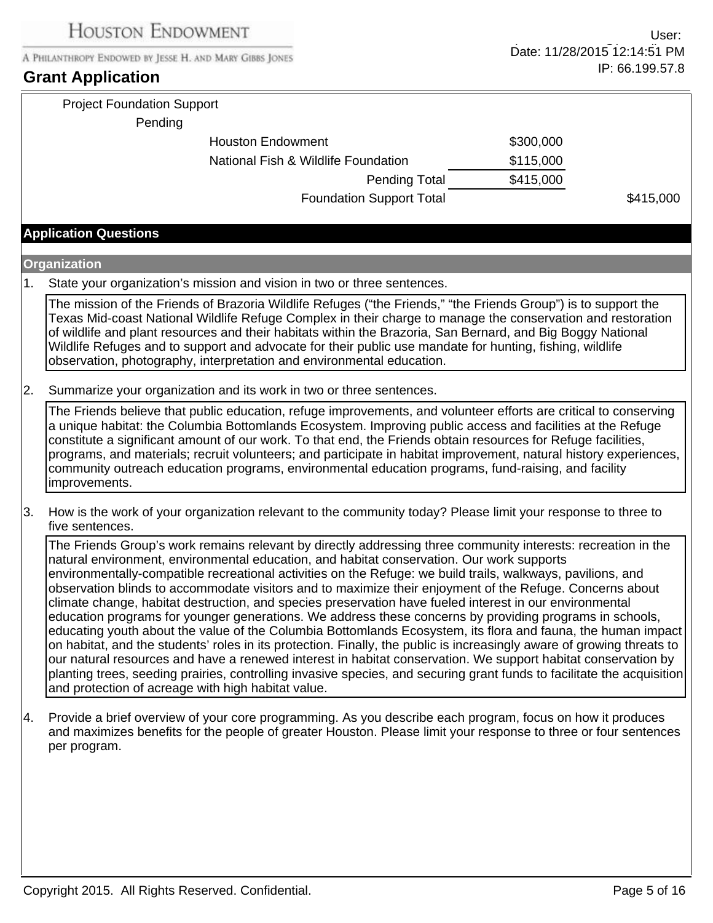## **Grant Application**

| <b>Project Foundation Support</b>   |           |           |
|-------------------------------------|-----------|-----------|
| Pending                             |           |           |
| <b>Houston Endowment</b>            | \$300,000 |           |
| National Fish & Wildlife Foundation | \$115,000 |           |
| <b>Pending Total</b>                | \$415,000 |           |
| <b>Foundation Support Total</b>     |           | \$415,000 |

## **Application Questions**

#### **Organization**

1. State your organization's mission and vision in two or three sentences.

The mission of the Friends of Brazoria Wildlife Refuges ("the Friends," "the Friends Group") is to support the Texas Mid-coast National Wildlife Refuge Complex in their charge to manage the conservation and restoration of wildlife and plant resources and their habitats within the Brazoria, San Bernard, and Big Boggy National Wildlife Refuges and to support and advocate for their public use mandate for hunting, fishing, wildlife observation, photography, interpretation and environmental education.

2. Summarize your organization and its work in two or three sentences.

The Friends believe that public education, refuge improvements, and volunteer efforts are critical to conserving a unique habitat: the Columbia Bottomlands Ecosystem. Improving public access and facilities at the Refuge constitute a significant amount of our work. To that end, the Friends obtain resources for Refuge facilities, programs, and materials; recruit volunteers; and participate in habitat improvement, natural history experiences, community outreach education programs, environmental education programs, fund-raising, and facility improvements.

3. How is the work of your organization relevant to the community today? Please limit your response to three to five sentences.

The Friends Group's work remains relevant by directly addressing three community interests: recreation in the natural environment, environmental education, and habitat conservation. Our work supports environmentally-compatible recreational activities on the Refuge: we build trails, walkways, pavilions, and observation blinds to accommodate visitors and to maximize their enjoyment of the Refuge. Concerns about climate change, habitat destruction, and species preservation have fueled interest in our environmental education programs for younger generations. We address these concerns by providing programs in schools, educating youth about the value of the Columbia Bottomlands Ecosystem, its flora and fauna, the human impact on habitat, and the students' roles in its protection. Finally, the public is increasingly aware of growing threats to our natural resources and have a renewed interest in habitat conservation. We support habitat conservation by planting trees, seeding prairies, controlling invasive species, and securing grant funds to facilitate the acquisition and protection of acreage with high habitat value.

4. Provide a brief overview of your core programming. As you describe each program, focus on how it produces and maximizes benefits for the people of greater Houston. Please limit your response to three or four sentences per program.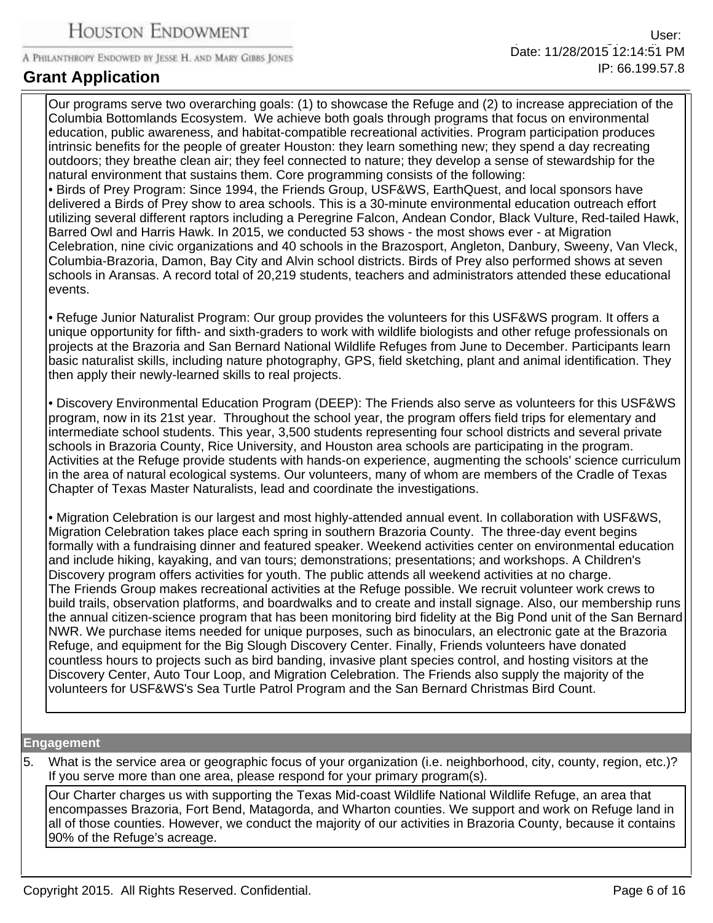Our programs serve two overarching goals: (1) to showcase the Refuge and (2) to increase appreciation of the Columbia Bottomlands Ecosystem. We achieve both goals through programs that focus on environmental education, public awareness, and habitat-compatible recreational activities. Program participation produces intrinsic benefits for the people of greater Houston: they learn something new; they spend a day recreating outdoors; they breathe clean air; they feel connected to nature; they develop a sense of stewardship for the natural environment that sustains them. Core programming consists of the following: • Birds of Prey Program: Since 1994, the Friends Group, USF&WS, EarthQuest, and local sponsors have delivered a Birds of Prey show to area schools. This is a 30-minute environmental education outreach effort utilizing several different raptors including a Peregrine Falcon, Andean Condor, Black Vulture, Red-tailed Hawk, Barred Owl and Harris Hawk. In 2015, we conducted 53 shows - the most shows ever - at Migration Celebration, nine civic organizations and 40 schools in the Brazosport, Angleton, Danbury, Sweeny, Van Vleck,

Columbia-Brazoria, Damon, Bay City and Alvin school districts. Birds of Prey also performed shows at seven schools in Aransas. A record total of 20,219 students, teachers and administrators attended these educational events.

• Refuge Junior Naturalist Program: Our group provides the volunteers for this USF&WS program. It offers a unique opportunity for fifth- and sixth-graders to work with wildlife biologists and other refuge professionals on projects at the Brazoria and San Bernard National Wildlife Refuges from June to December. Participants learn basic naturalist skills, including nature photography, GPS, field sketching, plant and animal identification. They then apply their newly-learned skills to real projects.

• Discovery Environmental Education Program (DEEP): The Friends also serve as volunteers for this USF&WS program, now in its 21st year. Throughout the school year, the program offers field trips for elementary and intermediate school students. This year, 3,500 students representing four school districts and several private schools in Brazoria County, Rice University, and Houston area schools are participating in the program. Activities at the Refuge provide students with hands-on experience, augmenting the schools' science curriculum in the area of natural ecological systems. Our volunteers, many of whom are members of the Cradle of Texas Chapter of Texas Master Naturalists, lead and coordinate the investigations.

• Migration Celebration is our largest and most highly-attended annual event. In collaboration with USF&WS, Migration Celebration takes place each spring in southern Brazoria County. The three-day event begins formally with a fundraising dinner and featured speaker. Weekend activities center on environmental education and include hiking, kayaking, and van tours; demonstrations; presentations; and workshops. A Children's Discovery program offers activities for youth. The public attends all weekend activities at no charge. The Friends Group makes recreational activities at the Refuge possible. We recruit volunteer work crews to build trails, observation platforms, and boardwalks and to create and install signage. Also, our membership runs the annual citizen-science program that has been monitoring bird fidelity at the Big Pond unit of the San Bernard NWR. We purchase items needed for unique purposes, such as binoculars, an electronic gate at the Brazoria Refuge, and equipment for the Big Slough Discovery Center. Finally, Friends volunteers have donated countless hours to projects such as bird banding, invasive plant species control, and hosting visitors at the Discovery Center, Auto Tour Loop, and Migration Celebration. The Friends also supply the majority of the volunteers for USF&WS's Sea Turtle Patrol Program and the San Bernard Christmas Bird Count.

#### **Engagement**

5. What is the service area or geographic focus of your organization (i.e. neighborhood, city, county, region, etc.)? If you serve more than one area, please respond for your primary program(s).

Our Charter charges us with supporting the Texas Mid-coast Wildlife National Wildlife Refuge, an area that encompasses Brazoria, Fort Bend, Matagorda, and Wharton counties. We support and work on Refuge land in all of those counties. However, we conduct the majority of our activities in Brazoria County, because it contains 90% of the Refuge's acreage.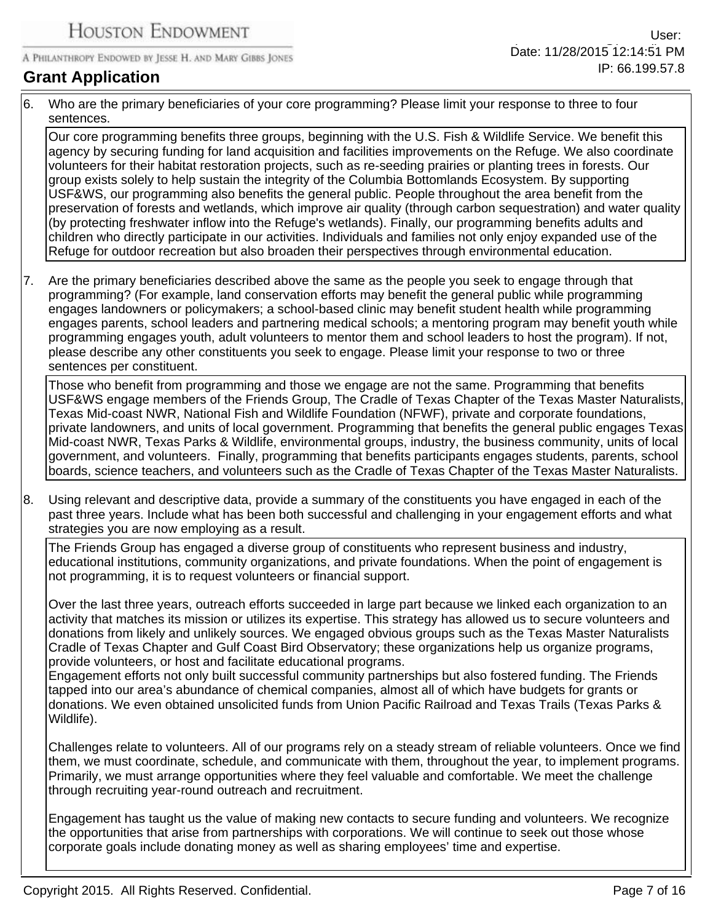# **Grant Application**

6. Who are the primary beneficiaries of your core programming? Please limit your response to three to four sentences.

Our core programming benefits three groups, beginning with the U.S. Fish & Wildlife Service. We benefit this agency by securing funding for land acquisition and facilities improvements on the Refuge. We also coordinate volunteers for their habitat restoration projects, such as re-seeding prairies or planting trees in forests. Our group exists solely to help sustain the integrity of the Columbia Bottomlands Ecosystem. By supporting USF&WS, our programming also benefits the general public. People throughout the area benefit from the preservation of forests and wetlands, which improve air quality (through carbon sequestration) and water quality (by protecting freshwater inflow into the Refuge's wetlands). Finally, our programming benefits adults and children who directly participate in our activities. Individuals and families not only enjoy expanded use of the Refuge for outdoor recreation but also broaden their perspectives through environmental education.

7. Are the primary beneficiaries described above the same as the people you seek to engage through that programming? (For example, land conservation efforts may benefit the general public while programming engages landowners or policymakers; a school-based clinic may benefit student health while programming engages parents, school leaders and partnering medical schools; a mentoring program may benefit youth while programming engages youth, adult volunteers to mentor them and school leaders to host the program). If not, please describe any other constituents you seek to engage. Please limit your response to two or three sentences per constituent.

Those who benefit from programming and those we engage are not the same. Programming that benefits USF&WS engage members of the Friends Group, The Cradle of Texas Chapter of the Texas Master Naturalists, Texas Mid-coast NWR, National Fish and Wildlife Foundation (NFWF), private and corporate foundations, private landowners, and units of local government. Programming that benefits the general public engages Texas Mid-coast NWR, Texas Parks & Wildlife, environmental groups, industry, the business community, units of local government, and volunteers. Finally, programming that benefits participants engages students, parents, school boards, science teachers, and volunteers such as the Cradle of Texas Chapter of the Texas Master Naturalists.

8. Using relevant and descriptive data, provide a summary of the constituents you have engaged in each of the past three years. Include what has been both successful and challenging in your engagement efforts and what strategies you are now employing as a result.

The Friends Group has engaged a diverse group of constituents who represent business and industry, educational institutions, community organizations, and private foundations. When the point of engagement is not programming, it is to request volunteers or financial support.

Over the last three years, outreach efforts succeeded in large part because we linked each organization to an activity that matches its mission or utilizes its expertise. This strategy has allowed us to secure volunteers and donations from likely and unlikely sources. We engaged obvious groups such as the Texas Master Naturalists Cradle of Texas Chapter and Gulf Coast Bird Observatory; these organizations help us organize programs, provide volunteers, or host and facilitate educational programs.

Engagement efforts not only built successful community partnerships but also fostered funding. The Friends tapped into our area's abundance of chemical companies, almost all of which have budgets for grants or donations. We even obtained unsolicited funds from Union Pacific Railroad and Texas Trails (Texas Parks & Wildlife).

Challenges relate to volunteers. All of our programs rely on a steady stream of reliable volunteers. Once we find them, we must coordinate, schedule, and communicate with them, throughout the year, to implement programs. Primarily, we must arrange opportunities where they feel valuable and comfortable. We meet the challenge through recruiting year-round outreach and recruitment.

Engagement has taught us the value of making new contacts to secure funding and volunteers. We recognize the opportunities that arise from partnerships with corporations. We will continue to seek out those whose corporate goals include donating money as well as sharing employees' time and expertise.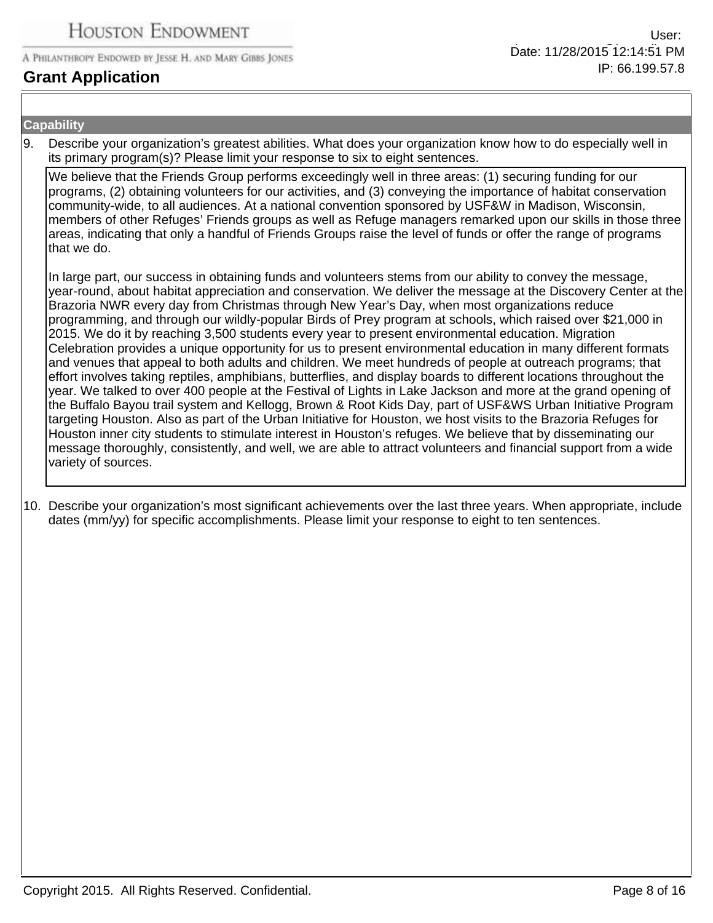## **Grant Application**

#### **Capability**

9. Describe your organization's greatest abilities. What does your organization know how to do especially well in its primary program(s)? Please limit your response to six to eight sentences.

We believe that the Friends Group performs exceedingly well in three areas: (1) securing funding for our programs, (2) obtaining volunteers for our activities, and (3) conveying the importance of habitat conservation community-wide, to all audiences. At a national convention sponsored by USF&W in Madison, Wisconsin, members of other Refuges' Friends groups as well as Refuge managers remarked upon our skills in those three areas, indicating that only a handful of Friends Groups raise the level of funds or offer the range of programs that we do.

In large part, our success in obtaining funds and volunteers stems from our ability to convey the message, year-round, about habitat appreciation and conservation. We deliver the message at the Discovery Center at the Brazoria NWR every day from Christmas through New Year's Day, when most organizations reduce programming, and through our wildly-popular Birds of Prey program at schools, which raised over \$21,000 in 2015. We do it by reaching 3,500 students every year to present environmental education. Migration Celebration provides a unique opportunity for us to present environmental education in many different formats and venues that appeal to both adults and children. We meet hundreds of people at outreach programs; that effort involves taking reptiles, amphibians, butterflies, and display boards to different locations throughout the year. We talked to over 400 people at the Festival of Lights in Lake Jackson and more at the grand opening of the Buffalo Bayou trail system and Kellogg, Brown & Root Kids Day, part of USF&WS Urban Initiative Program targeting Houston. Also as part of the Urban Initiative for Houston, we host visits to the Brazoria Refuges for Houston inner city students to stimulate interest in Houston's refuges. We believe that by disseminating our message thoroughly, consistently, and well, we are able to attract volunteers and financial support from a wide variety of sources.

10. Describe your organization's most significant achievements over the last three years. When appropriate, include dates (mm/yy) for specific accomplishments. Please limit your response to eight to ten sentences.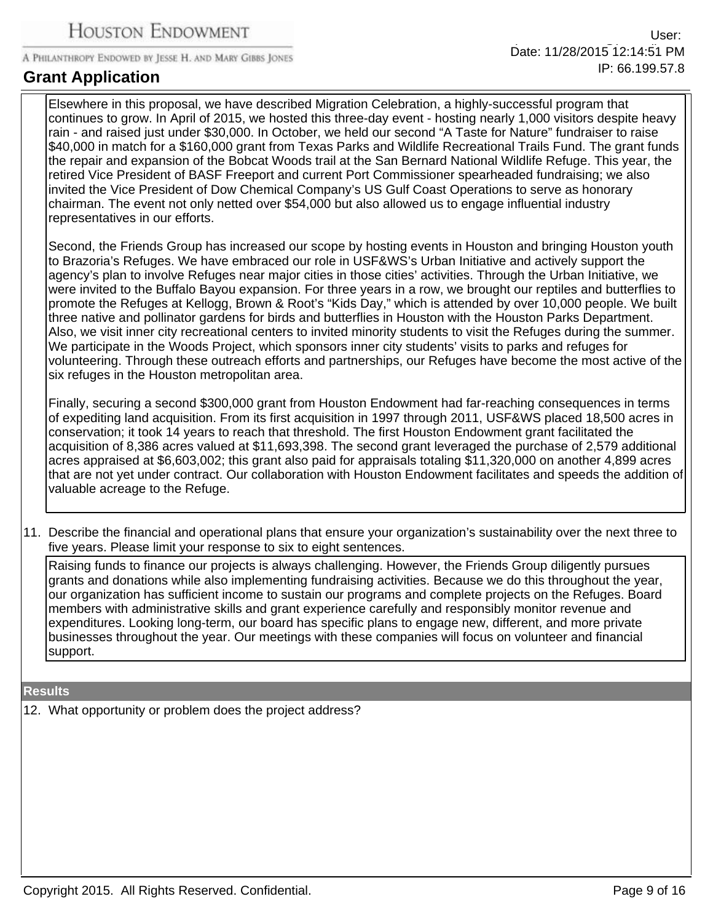## **Grant Application**

Elsewhere in this proposal, we have described Migration Celebration, a highly-successful program that continues to grow. In April of 2015, we hosted this three-day event - hosting nearly 1,000 visitors despite heavy rain - and raised just under \$30,000. In October, we held our second "A Taste for Nature" fundraiser to raise \$40,000 in match for a \$160,000 grant from Texas Parks and Wildlife Recreational Trails Fund. The grant funds the repair and expansion of the Bobcat Woods trail at the San Bernard National Wildlife Refuge. This year, the retired Vice President of BASF Freeport and current Port Commissioner spearheaded fundraising; we also invited the Vice President of Dow Chemical Company's US Gulf Coast Operations to serve as honorary chairman. The event not only netted over \$54,000 but also allowed us to engage influential industry representatives in our efforts.

Second, the Friends Group has increased our scope by hosting events in Houston and bringing Houston youth to Brazoria's Refuges. We have embraced our role in USF&WS's Urban Initiative and actively support the agency's plan to involve Refuges near major cities in those cities' activities. Through the Urban Initiative, we were invited to the Buffalo Bayou expansion. For three years in a row, we brought our reptiles and butterflies to promote the Refuges at Kellogg, Brown & Root's "Kids Day," which is attended by over 10,000 people. We built three native and pollinator gardens for birds and butterflies in Houston with the Houston Parks Department. Also, we visit inner city recreational centers to invited minority students to visit the Refuges during the summer. We participate in the Woods Project, which sponsors inner city students' visits to parks and refuges for volunteering. Through these outreach efforts and partnerships, our Refuges have become the most active of the six refuges in the Houston metropolitan area.

Finally, securing a second \$300,000 grant from Houston Endowment had far-reaching consequences in terms of expediting land acquisition. From its first acquisition in 1997 through 2011, USF&WS placed 18,500 acres in conservation; it took 14 years to reach that threshold. The first Houston Endowment grant facilitated the acquisition of 8,386 acres valued at \$11,693,398. The second grant leveraged the purchase of 2,579 additional acres appraised at \$6,603,002; this grant also paid for appraisals totaling \$11,320,000 on another 4,899 acres that are not yet under contract. Our collaboration with Houston Endowment facilitates and speeds the addition of valuable acreage to the Refuge.

11. Describe the financial and operational plans that ensure your organization's sustainability over the next three to five years. Please limit your response to six to eight sentences.

Raising funds to finance our projects is always challenging. However, the Friends Group diligently pursues grants and donations while also implementing fundraising activities. Because we do this throughout the year, our organization has sufficient income to sustain our programs and complete projects on the Refuges. Board members with administrative skills and grant experience carefully and responsibly monitor revenue and expenditures. Looking long-term, our board has specific plans to engage new, different, and more private businesses throughout the year. Our meetings with these companies will focus on volunteer and financial support.

#### **Results**

12. What opportunity or problem does the project address?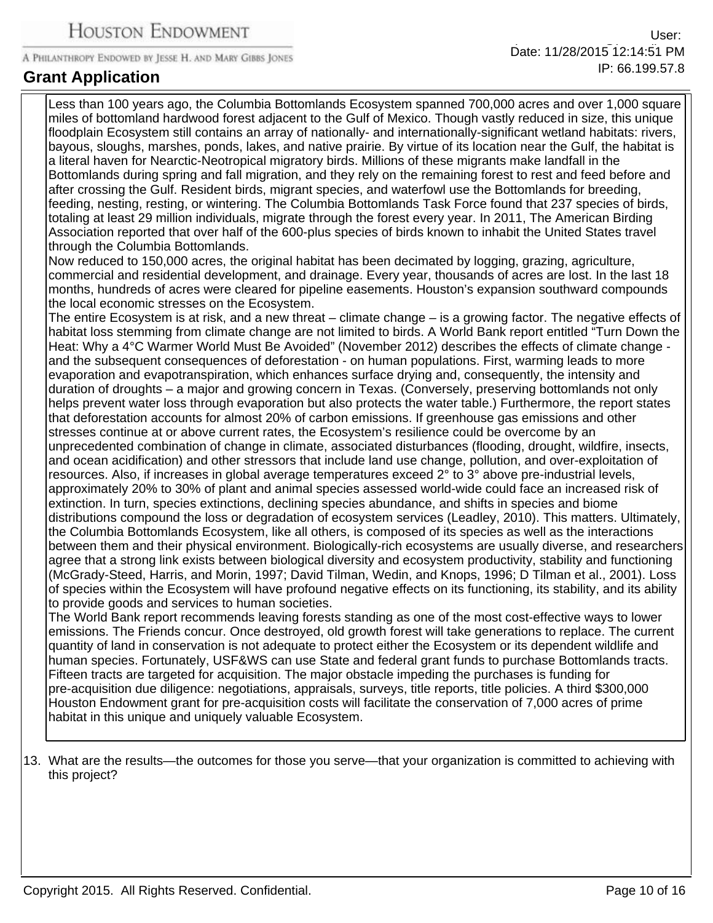Less than 100 years ago, the Columbia Bottomlands Ecosystem spanned 700,000 acres and over 1,000 square miles of bottomland hardwood forest adjacent to the Gulf of Mexico. Though vastly reduced in size, this unique floodplain Ecosystem still contains an array of nationally- and internationally-significant wetland habitats: rivers, bayous, sloughs, marshes, ponds, lakes, and native prairie. By virtue of its location near the Gulf, the habitat is a literal haven for Nearctic-Neotropical migratory birds. Millions of these migrants make landfall in the Bottomlands during spring and fall migration, and they rely on the remaining forest to rest and feed before and after crossing the Gulf. Resident birds, migrant species, and waterfowl use the Bottomlands for breeding, feeding, nesting, resting, or wintering. The Columbia Bottomlands Task Force found that 237 species of birds, totaling at least 29 million individuals, migrate through the forest every year. In 2011, The American Birding Association reported that over half of the 600-plus species of birds known to inhabit the United States travel through the Columbia Bottomlands. Now reduced to 150,000 acres, the original habitat has been decimated by logging, grazing, agriculture, commercial and residential development, and drainage. Every year, thousands of acres are lost. In the last 18 months, hundreds of acres were cleared for pipeline easements. Houston's expansion southward compounds the local economic stresses on the Ecosystem. The entire Ecosystem is at risk, and a new threat – climate change – is a growing factor. The negative effects of habitat loss stemming from climate change are not limited to birds. A World Bank report entitled "Turn Down the Heat: Why a 4°C Warmer World Must Be Avoided" (November 2012) describes the effects of climate change and the subsequent consequences of deforestation - on human populations. First, warming leads to more evaporation and evapotranspiration, which enhances surface drying and, consequently, the intensity and duration of droughts – a major and growing concern in Texas. (Conversely, preserving bottomlands not only helps prevent water loss through evaporation but also protects the water table.) Furthermore, the report states that deforestation accounts for almost 20% of carbon emissions. If greenhouse gas emissions and other stresses continue at or above current rates, the Ecosystem's resilience could be overcome by an unprecedented combination of change in climate, associated disturbances (flooding, drought, wildfire, insects, and ocean acidification) and other stressors that include land use change, pollution, and over-exploitation of resources. Also, if increases in global average temperatures exceed 2° to 3° above pre-industrial levels, approximately 20% to 30% of plant and animal species assessed world-wide could face an increased risk of extinction. In turn, species extinctions, declining species abundance, and shifts in species and biome distributions compound the loss or degradation of ecosystem services (Leadley, 2010). This matters. Ultimately, the Columbia Bottomlands Ecosystem, like all others, is composed of its species as well as the interactions between them and their physical environment. Biologically-rich ecosystems are usually diverse, and researchers agree that a strong link exists between biological diversity and ecosystem productivity, stability and functioning (McGrady-Steed, Harris, and Morin, 1997; David Tilman, Wedin, and Knops, 1996; D Tilman et al., 2001). Loss of species within the Ecosystem will have profound negative effects on its functioning, its stability, and its ability to provide goods and services to human societies. The World Bank report recommends leaving forests standing as one of the most cost-effective ways to lower emissions. The Friends concur. Once destroyed, old growth forest will take generations to replace. The current quantity of land in conservation is not adequate to protect either the Ecosystem or its dependent wildlife and human species. Fortunately, USF&WS can use State and federal grant funds to purchase Bottomlands tracts.

Fifteen tracts are targeted for acquisition. The major obstacle impeding the purchases is funding for pre-acquisition due diligence: negotiations, appraisals, surveys, title reports, title policies. A third \$300,000 Houston Endowment grant for pre-acquisition costs will facilitate the conservation of 7,000 acres of prime habitat in this unique and uniquely valuable Ecosystem.

13. What are the results—the outcomes for those you serve—that your organization is committed to achieving with this project?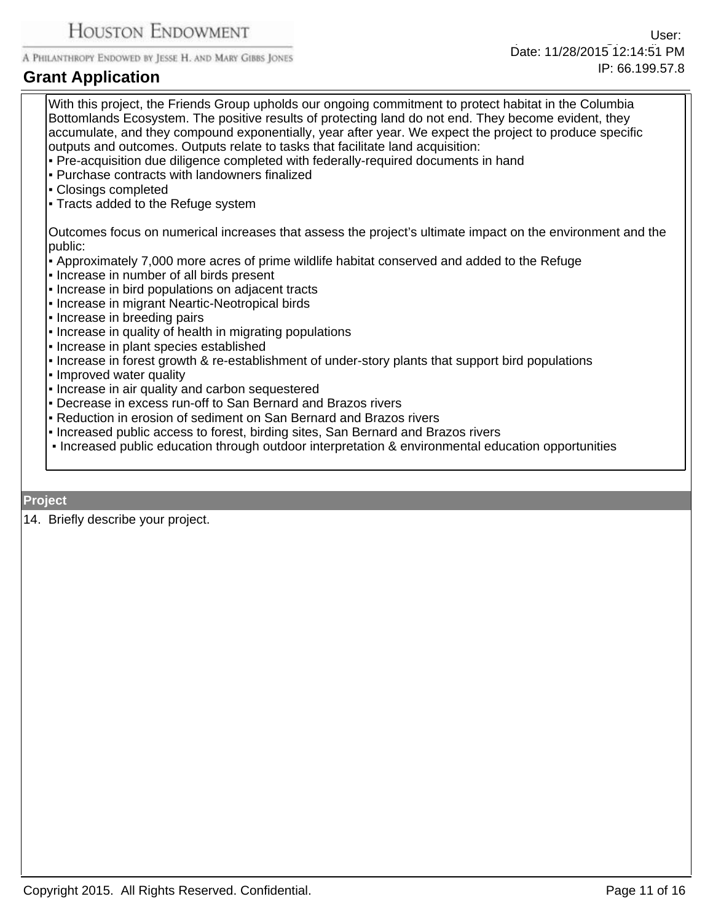# **Grant Application**

With this project, the Friends Group upholds our ongoing commitment to protect habitat in the Columbia Bottomlands Ecosystem. The positive results of protecting land do not end. They become evident, they accumulate, and they compound exponentially, year after year. We expect the project to produce specific outputs and outcomes. Outputs relate to tasks that facilitate land acquisition: ƒPre-acquisition due diligence completed with federally-required documents in hand ƒPurchase contracts with landowners finalized ƒClosings completed • Tracts added to the Refuge system Outcomes focus on numerical increases that assess the project's ultimate impact on the environment and the public: • Approximately 7,000 more acres of prime wildlife habitat conserved and added to the Refuge ƒIncrease in number of all birds present • Increase in bird populations on adjacent tracts **Increase in migrant Neartic-Neotropical birds** • Increase in breeding pairs • Increase in quality of health in migrating populations • Increase in plant species established • Increase in forest growth & re-establishment of under-story plants that support bird populations • Improved water quality • Increase in air quality and carbon sequestered **- Decrease in excess run-off to San Bernard and Brazos rivers** - Reduction in erosion of sediment on San Bernard and Brazos rivers **Increased public access to forest, birding sites, San Bernard and Brazos rivers** 

• Increased public education through outdoor interpretation & environmental education opportunities

#### **Project**

14. Briefly describe your project.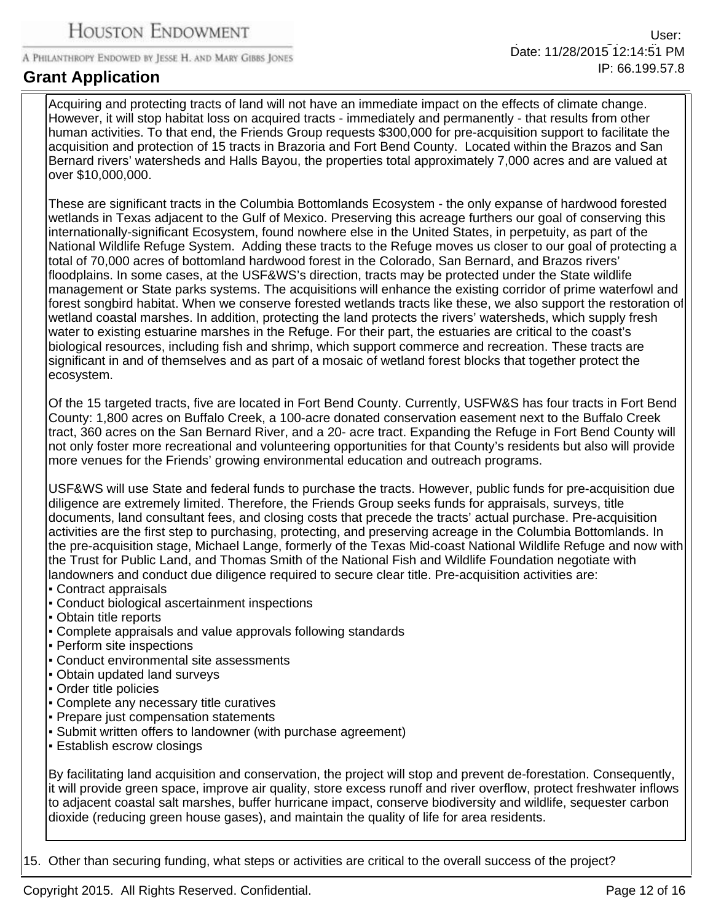## **Grant Application**

Acquiring and protecting tracts of land will not have an immediate impact on the effects of climate change. However, it will stop habitat loss on acquired tracts - immediately and permanently - that results from other human activities. To that end, the Friends Group requests \$300,000 for pre-acquisition support to facilitate the acquisition and protection of 15 tracts in Brazoria and Fort Bend County. Located within the Brazos and San Bernard rivers' watersheds and Halls Bayou, the properties total approximately 7,000 acres and are valued at over \$10,000,000.

These are significant tracts in the Columbia Bottomlands Ecosystem - the only expanse of hardwood forested wetlands in Texas adjacent to the Gulf of Mexico. Preserving this acreage furthers our goal of conserving this internationally-significant Ecosystem, found nowhere else in the United States, in perpetuity, as part of the National Wildlife Refuge System. Adding these tracts to the Refuge moves us closer to our goal of protecting a total of 70,000 acres of bottomland hardwood forest in the Colorado, San Bernard, and Brazos rivers' floodplains. In some cases, at the USF&WS's direction, tracts may be protected under the State wildlife management or State parks systems. The acquisitions will enhance the existing corridor of prime waterfowl and forest songbird habitat. When we conserve forested wetlands tracts like these, we also support the restoration of wetland coastal marshes. In addition, protecting the land protects the rivers' watersheds, which supply fresh water to existing estuarine marshes in the Refuge. For their part, the estuaries are critical to the coast's biological resources, including fish and shrimp, which support commerce and recreation. These tracts are significant in and of themselves and as part of a mosaic of wetland forest blocks that together protect the ecosystem.

Of the 15 targeted tracts, five are located in Fort Bend County. Currently, USFW&S has four tracts in Fort Bend County: 1,800 acres on Buffalo Creek, a 100-acre donated conservation easement next to the Buffalo Creek tract, 360 acres on the San Bernard River, and a 20- acre tract. Expanding the Refuge in Fort Bend County will not only foster more recreational and volunteering opportunities for that County's residents but also will provide more venues for the Friends' growing environmental education and outreach programs.

USF&WS will use State and federal funds to purchase the tracts. However, public funds for pre-acquisition due diligence are extremely limited. Therefore, the Friends Group seeks funds for appraisals, surveys, title documents, land consultant fees, and closing costs that precede the tracts' actual purchase. Pre-acquisition activities are the first step to purchasing, protecting, and preserving acreage in the Columbia Bottomlands. In the pre-acquisition stage, Michael Lange, formerly of the Texas Mid-coast National Wildlife Refuge and now with the Trust for Public Land, and Thomas Smith of the National Fish and Wildlife Foundation negotiate with landowners and conduct due diligence required to secure clear title. Pre-acquisition activities are:

- ƒContract appraisals
- Conduct biological ascertainment inspections
- ƒObtain title reports
- Complete appraisals and value approvals following standards
- Perform site inspections
- ƒConduct environmental site assessments
- Obtain updated land surveys
- ƒOrder title policies
- ƒComplete any necessary title curatives
- Prepare just compensation statements
- Submit written offers to landowner (with purchase agreement)
- **Establish escrow closings**

By facilitating land acquisition and conservation, the project will stop and prevent de-forestation. Consequently, it will provide green space, improve air quality, store excess runoff and river overflow, protect freshwater inflows to adjacent coastal salt marshes, buffer hurricane impact, conserve biodiversity and wildlife, sequester carbon dioxide (reducing green house gases), and maintain the quality of life for area residents.

15. Other than securing funding, what steps or activities are critical to the overall success of the project?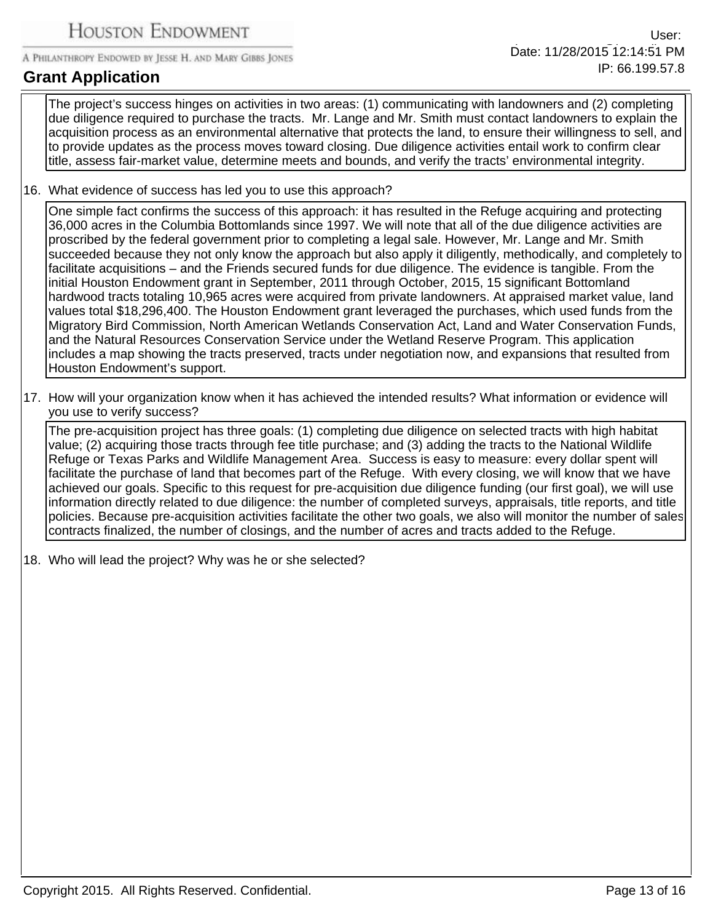# **Grant Application**

The project's success hinges on activities in two areas: (1) communicating with landowners and (2) completing due diligence required to purchase the tracts. Mr. Lange and Mr. Smith must contact landowners to explain the acquisition process as an environmental alternative that protects the land, to ensure their willingness to sell, and to provide updates as the process moves toward closing. Due diligence activities entail work to confirm clear title, assess fair-market value, determine meets and bounds, and verify the tracts' environmental integrity.

16. What evidence of success has led you to use this approach?

One simple fact confirms the success of this approach: it has resulted in the Refuge acquiring and protecting 36,000 acres in the Columbia Bottomlands since 1997. We will note that all of the due diligence activities are proscribed by the federal government prior to completing a legal sale. However, Mr. Lange and Mr. Smith succeeded because they not only know the approach but also apply it diligently, methodically, and completely to facilitate acquisitions – and the Friends secured funds for due diligence. The evidence is tangible. From the initial Houston Endowment grant in September, 2011 through October, 2015, 15 significant Bottomland hardwood tracts totaling 10,965 acres were acquired from private landowners. At appraised market value, land values total \$18,296,400. The Houston Endowment grant leveraged the purchases, which used funds from the Migratory Bird Commission, North American Wetlands Conservation Act, Land and Water Conservation Funds, and the Natural Resources Conservation Service under the Wetland Reserve Program. This application includes a map showing the tracts preserved, tracts under negotiation now, and expansions that resulted from Houston Endowment's support.

17. How will your organization know when it has achieved the intended results? What information or evidence will you use to verify success?

The pre-acquisition project has three goals: (1) completing due diligence on selected tracts with high habitat value; (2) acquiring those tracts through fee title purchase; and (3) adding the tracts to the National Wildlife Refuge or Texas Parks and Wildlife Management Area. Success is easy to measure: every dollar spent will facilitate the purchase of land that becomes part of the Refuge. With every closing, we will know that we have achieved our goals. Specific to this request for pre-acquisition due diligence funding (our first goal), we will use information directly related to due diligence: the number of completed surveys, appraisals, title reports, and title policies. Because pre-acquisition activities facilitate the other two goals, we also will monitor the number of sales contracts finalized, the number of closings, and the number of acres and tracts added to the Refuge.

18. Who will lead the project? Why was he or she selected?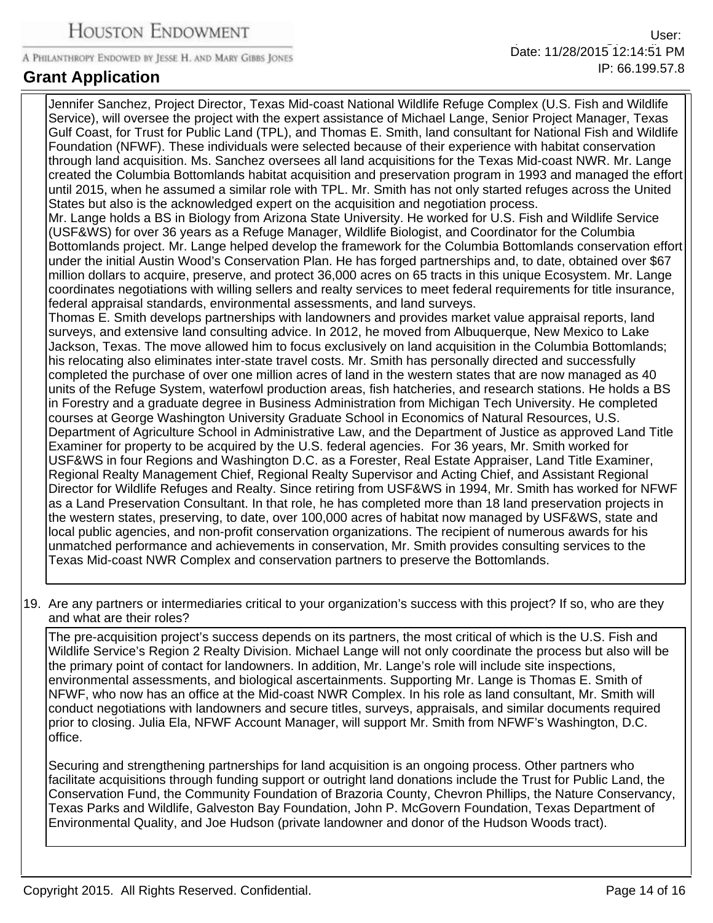**Grant Application**

Jennifer Sanchez, Project Director, Texas Mid-coast National Wildlife Refuge Complex (U.S. Fish and Wildlife Service), will oversee the project with the expert assistance of Michael Lange, Senior Project Manager, Texas Gulf Coast, for Trust for Public Land (TPL), and Thomas E. Smith, land consultant for National Fish and Wildlife Foundation (NFWF). These individuals were selected because of their experience with habitat conservation through land acquisition. Ms. Sanchez oversees all land acquisitions for the Texas Mid-coast NWR. Mr. Lange created the Columbia Bottomlands habitat acquisition and preservation program in 1993 and managed the effort until 2015, when he assumed a similar role with TPL. Mr. Smith has not only started refuges across the United States but also is the acknowledged expert on the acquisition and negotiation process.

Mr. Lange holds a BS in Biology from Arizona State University. He worked for U.S. Fish and Wildlife Service (USF&WS) for over 36 years as a Refuge Manager, Wildlife Biologist, and Coordinator for the Columbia Bottomlands project. Mr. Lange helped develop the framework for the Columbia Bottomlands conservation effort under the initial Austin Wood's Conservation Plan. He has forged partnerships and, to date, obtained over \$67 million dollars to acquire, preserve, and protect 36,000 acres on 65 tracts in this unique Ecosystem. Mr. Lange coordinates negotiations with willing sellers and realty services to meet federal requirements for title insurance, federal appraisal standards, environmental assessments, and land surveys.

Thomas E. Smith develops partnerships with landowners and provides market value appraisal reports, land surveys, and extensive land consulting advice. In 2012, he moved from Albuquerque, New Mexico to Lake Jackson, Texas. The move allowed him to focus exclusively on land acquisition in the Columbia Bottomlands; his relocating also eliminates inter-state travel costs. Mr. Smith has personally directed and successfully completed the purchase of over one million acres of land in the western states that are now managed as 40 units of the Refuge System, waterfowl production areas, fish hatcheries, and research stations. He holds a BS in Forestry and a graduate degree in Business Administration from Michigan Tech University. He completed courses at George Washington University Graduate School in Economics of Natural Resources, U.S. Department of Agriculture School in Administrative Law, and the Department of Justice as approved Land Title Examiner for property to be acquired by the U.S. federal agencies. For 36 years, Mr. Smith worked for USF&WS in four Regions and Washington D.C. as a Forester, Real Estate Appraiser, Land Title Examiner, Regional Realty Management Chief, Regional Realty Supervisor and Acting Chief, and Assistant Regional Director for Wildlife Refuges and Realty. Since retiring from USF&WS in 1994, Mr. Smith has worked for NFWF as a Land Preservation Consultant. In that role, he has completed more than 18 land preservation projects in the western states, preserving, to date, over 100,000 acres of habitat now managed by USF&WS, state and local public agencies, and non-profit conservation organizations. The recipient of numerous awards for his unmatched performance and achievements in conservation, Mr. Smith provides consulting services to the Texas Mid-coast NWR Complex and conservation partners to preserve the Bottomlands.

19. Are any partners or intermediaries critical to your organization's success with this project? If so, who are they and what are their roles?

The pre-acquisition project's success depends on its partners, the most critical of which is the U.S. Fish and Wildlife Service's Region 2 Realty Division. Michael Lange will not only coordinate the process but also will be the primary point of contact for landowners. In addition, Mr. Lange's role will include site inspections, environmental assessments, and biological ascertainments. Supporting Mr. Lange is Thomas E. Smith of NFWF, who now has an office at the Mid-coast NWR Complex. In his role as land consultant, Mr. Smith will conduct negotiations with landowners and secure titles, surveys, appraisals, and similar documents required prior to closing. Julia Ela, NFWF Account Manager, will support Mr. Smith from NFWF's Washington, D.C. office.

Securing and strengthening partnerships for land acquisition is an ongoing process. Other partners who facilitate acquisitions through funding support or outright land donations include the Trust for Public Land, the Conservation Fund, the Community Foundation of Brazoria County, Chevron Phillips, the Nature Conservancy, Texas Parks and Wildlife, Galveston Bay Foundation, John P. McGovern Foundation, Texas Department of Environmental Quality, and Joe Hudson (private landowner and donor of the Hudson Woods tract).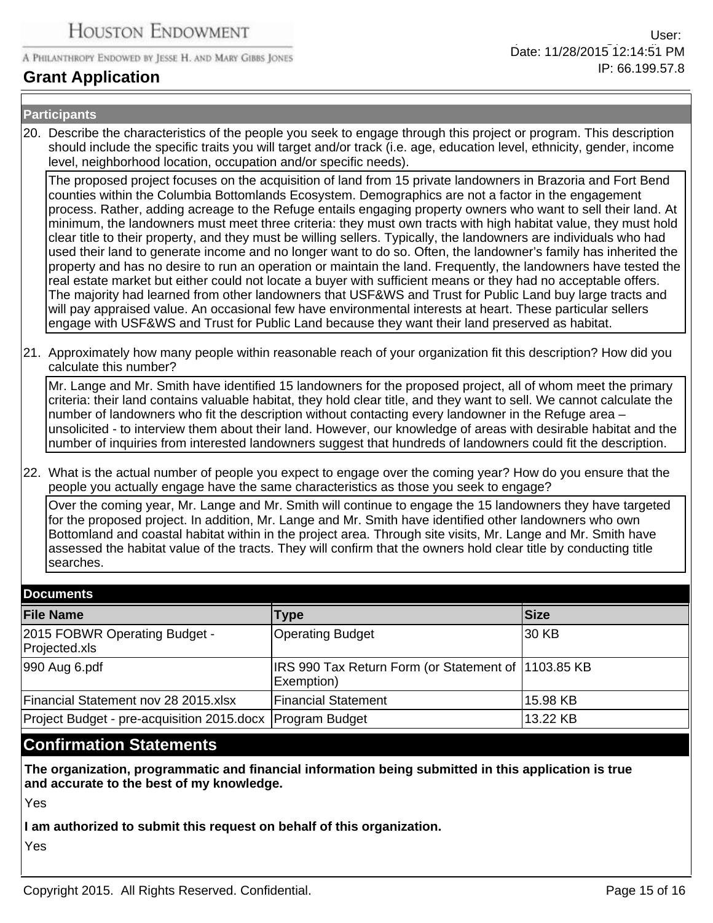## **Grant Application**

#### **Participants**

20. Describe the characteristics of the people you seek to engage through this project or program. This description should include the specific traits you will target and/or track (i.e. age, education level, ethnicity, gender, income level, neighborhood location, occupation and/or specific needs).

The proposed project focuses on the acquisition of land from 15 private landowners in Brazoria and Fort Bend counties within the Columbia Bottomlands Ecosystem. Demographics are not a factor in the engagement process. Rather, adding acreage to the Refuge entails engaging property owners who want to sell their land. At minimum, the landowners must meet three criteria: they must own tracts with high habitat value, they must hold clear title to their property, and they must be willing sellers. Typically, the landowners are individuals who had used their land to generate income and no longer want to do so. Often, the landowner's family has inherited the property and has no desire to run an operation or maintain the land. Frequently, the landowners have tested the real estate market but either could not locate a buyer with sufficient means or they had no acceptable offers. The majority had learned from other landowners that USF&WS and Trust for Public Land buy large tracts and will pay appraised value. An occasional few have environmental interests at heart. These particular sellers engage with USF&WS and Trust for Public Land because they want their land preserved as habitat.

21. Approximately how many people within reasonable reach of your organization fit this description? How did you calculate this number?

Mr. Lange and Mr. Smith have identified 15 landowners for the proposed project, all of whom meet the primary criteria: their land contains valuable habitat, they hold clear title, and they want to sell. We cannot calculate the number of landowners who fit the description without contacting every landowner in the Refuge area – unsolicited - to interview them about their land. However, our knowledge of areas with desirable habitat and the number of inquiries from interested landowners suggest that hundreds of landowners could fit the description.

22. What is the actual number of people you expect to engage over the coming year? How do you ensure that the people you actually engage have the same characteristics as those you seek to engage?

Over the coming year, Mr. Lange and Mr. Smith will continue to engage the 15 landowners they have targeted for the proposed project. In addition, Mr. Lange and Mr. Smith have identified other landowners who own Bottomland and coastal habitat within in the project area. Through site visits, Mr. Lange and Mr. Smith have assessed the habitat value of the tracts. They will confirm that the owners hold clear title by conducting title searches.

| <b>Documents</b>                                          |                                                                   |             |  |
|-----------------------------------------------------------|-------------------------------------------------------------------|-------------|--|
| <b>File Name</b>                                          | <b>Type</b>                                                       | <b>Size</b> |  |
| 2015 FOBWR Operating Budget -<br>Projected.xls            | Operating Budget                                                  | 30 KB       |  |
| 990 Aug 6.pdf                                             | IRS 990 Tax Return Form (or Statement of 1103.85 KB<br>Exemption) |             |  |
| Financial Statement nov 28 2015.xlsx                      | Financial Statement                                               | 15.98 KB    |  |
| Project Budget - pre-acquisition 2015.docx Program Budget |                                                                   | 13.22 KB    |  |

## **Confirmation Statements**

**The organization, programmatic and financial information being submitted in this application is true and accurate to the best of my knowledge.**

Yes

**I am authorized to submit this request on behalf of this organization.**

Yes